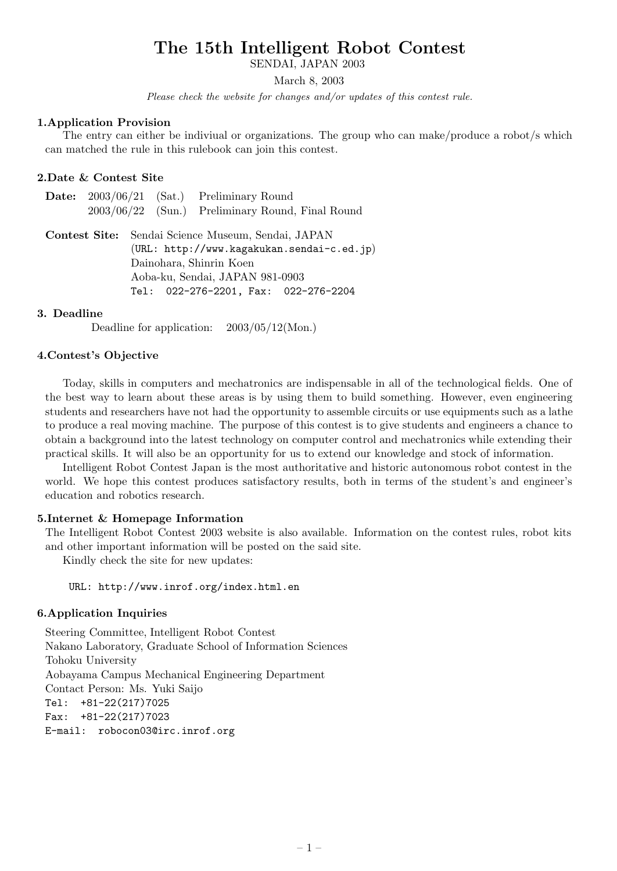SENDAI, JAPAN 2003

March 8, 2003

*Please check the website for changes and/or updates of this contest rule.*

#### **1.Application Provision**

The entry can either be indiviual or organizations. The group who can make/produce a robot/s which can matched the rule in this rulebook can join this contest.

#### **2.Date & Contest Site**

|  | <b>Date:</b> $2003/06/21$ (Sat.) Preliminary Round |
|--|----------------------------------------------------|
|  | $2003/06/22$ (Sun.) Preliminary Round, Final Round |

**Contest Site:** Sendai Science Museum, Sendai, JAPAN (URL: http://www.kagakukan.sendai-c.ed.jp) Dainohara, Shinrin Koen Aoba-ku, Sendai, JAPAN 981-0903 Tel: 022-276-2201, Fax: 022-276-2204

#### **3. Deadline**

Deadline for application:  $2003/05/12(Mon.)$ 

#### **4.Contest's Objective**

Today, skills in computers and mechatronics are indispensable in all of the technological fields. One of the best way to learn about these areas is by using them to build something. However, even engineering students and researchers have not had the opportunity to assemble circuits or use equipments such as a lathe to produce a real moving machine. The purpose of this contest is to give students and engineers a chance to obtain a background into the latest technology on computer control and mechatronics while extending their practical skills. It will also be an opportunity for us to extend our knowledge and stock of information.

Intelligent Robot Contest Japan is the most authoritative and historic autonomous robot contest in the world. We hope this contest produces satisfactory results, both in terms of the student's and engineer's education and robotics research.

#### **5.Internet & Homepage Information**

The Intelligent Robot Contest 2003 website is also available. Information on the contest rules, robot kits and other important information will be posted on the said site.

Kindly check the site for new updates:

URL: http://www.inrof.org/index.html.en

#### **6.Application Inquiries**

Steering Committee, Intelligent Robot Contest Nakano Laboratory, Graduate School of Information Sciences Tohoku University Aobayama Campus Mechanical Engineering Department Contact Person: Ms. Yuki Saijo Tel: +81-22(217)7025 Fax: +81-22(217)7023 E-mail: robocon03@irc.inrof.org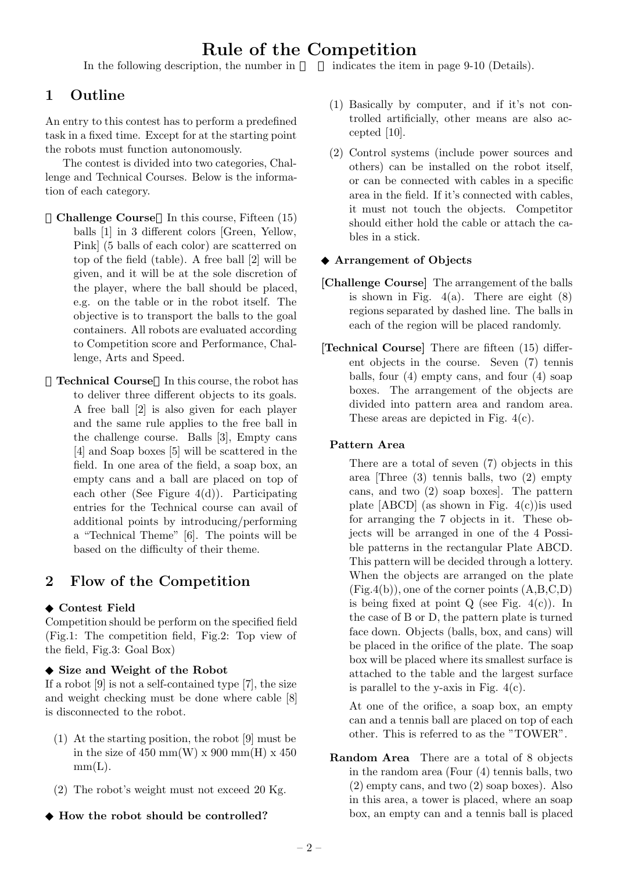In the following description, the number in **indicates** the item in page 9-10 (Details).

# **1 Outline**

An entry to this contest has to perform a predefined task in a fixed time. Except for at the starting point the robots must function autonomously.

The contest is divided into two categories, Challenge and Technical Courses. Below is the information of each category.

- **Challenge Course** In this course, Fifteen (15) balls [1] in 3 different colors [Green, Yellow, Pink] (5 balls of each color) are scatterred on top of the field (table). A free ball [2] will be given, and it will be at the sole discretion of the player, where the ball should be placed, e.g. on the table or in the robot itself. The objective is to transport the balls to the goal containers. All robots are evaluated according to Competition score and Performance, Challenge, Arts and Speed.
- **Technical Course** In this course, the robot has to deliver three different objects to its goals. A free ball [2] is also given for each player and the same rule applies to the free ball in the challenge course. Balls [3], Empty cans [4] and Soap boxes [5] will be scattered in the field. In one area of the field, a soap box, an empty cans and a ball are placed on top of each other (See Figure 4(d)). Participating entries for the Technical course can avail of additional points by introducing/performing a "Technical Theme" [6]. The points will be based on the difficulty of their theme.

# **2 Flow of the Competition**

#### **Contest Field**

Competition should be perform on the specified field (Fig.1: The competition field, Fig.2: Top view of the field, Fig.3: Goal Box)

#### **Size and Weight of the Robot**

If a robot [9] is not a self-contained type [7], the size and weight checking must be done where cable [8] is disconnected to the robot.

- (1) At the starting position, the robot [9] must be in the size of 450 mm(W) x 900 mm(H) x 450  $mm(L).$
- (2) The robot's weight must not exceed 20 Kg.

#### **How the robot should be controlled?**

- (1) Basically by computer, and if it's not controlled artificially, other means are also accepted [10].
- (2) Control systems (include power sources and others) can be installed on the robot itself, or can be connected with cables in a specific area in the field. If it's connected with cables, it must not touch the objects. Competitor should either hold the cable or attach the cables in a stick.

#### **Arrangement of Objects**

- **[Challenge Course]** The arrangement of the balls is shown in Fig.  $4(a)$ . There are eight  $(8)$ regions separated by dashed line. The balls in each of the region will be placed randomly.
- **[Technical Course]** There are fifteen (15) different objects in the course. Seven (7) tennis balls, four (4) empty cans, and four (4) soap boxes. The arrangement of the objects are divided into pattern area and random area. These areas are depicted in Fig. 4(c).

#### **Pattern Area**

There are a total of seven (7) objects in this area [Three (3) tennis balls, two (2) empty cans, and two (2) soap boxes]. The pattern plate  $[ABCD]$  (as shown in Fig. 4(c)) is used for arranging the 7 objects in it. These objects will be arranged in one of the 4 Possible patterns in the rectangular Plate ABCD. This pattern will be decided through a lottery. When the objects are arranged on the plate  $(Fig.4(b))$ , one of the corner points  $(A,B,C,D)$ is being fixed at point  $Q$  (see Fig.  $4(c)$ ). In the case of B or D, the pattern plate is turned face down. Objects (balls, box, and cans) will be placed in the orifice of the plate. The soap box will be placed where its smallest surface is attached to the table and the largest surface is parallel to the y-axis in Fig.  $4(c)$ .

At one of the orifice, a soap box, an empty can and a tennis ball are placed on top of each other. This is referred to as the "TOWER".

**Random Area** There are a total of 8 objects in the random area (Four (4) tennis balls, two (2) empty cans, and two (2) soap boxes). Also in this area, a tower is placed, where an soap box, an empty can and a tennis ball is placed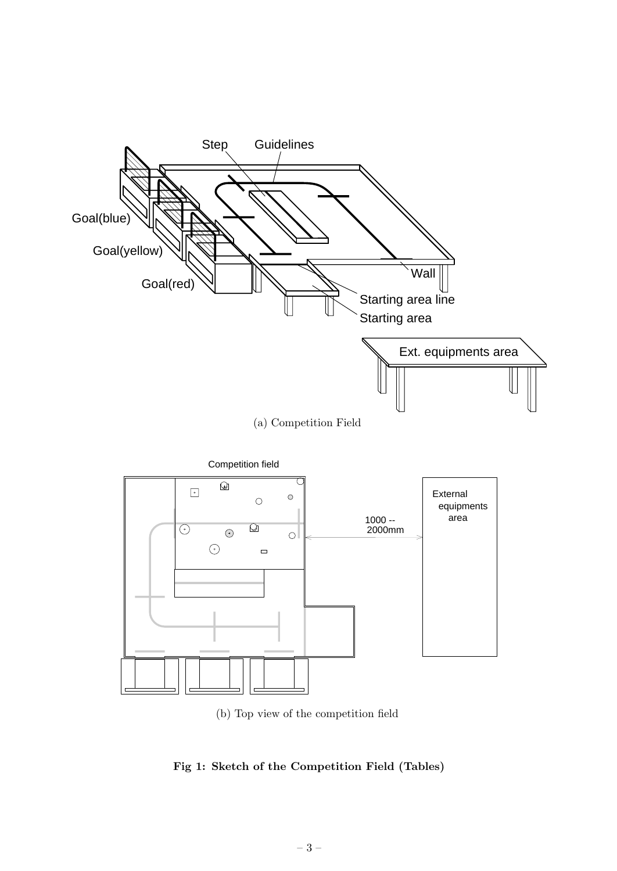

(b) Top view of the competition field

**Fig 1: Sketch of the Competition Field (Tables)**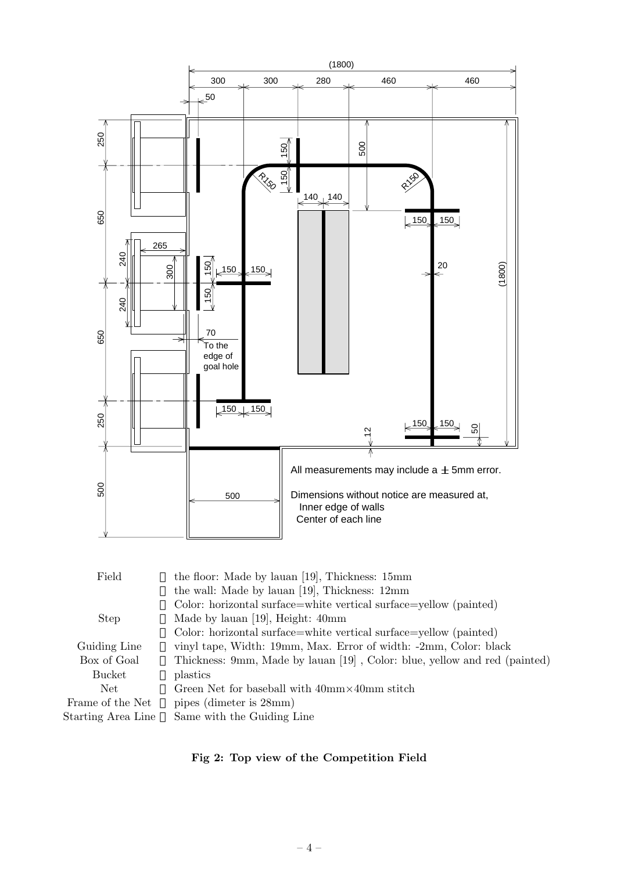

| Field              | the floor: Made by lauan [19], Thickness: 15mm                            |
|--------------------|---------------------------------------------------------------------------|
|                    | the wall: Made by lauan [19], Thickness: 12mm                             |
|                    | Color: horizontal surface=white vertical surface=yellow (painted)         |
| <b>Step</b>        | Made by lauan [19], Height: 40mm                                          |
|                    | Color: horizontal surface=white vertical surface=yellow (painted)         |
| Guiding Line       | vinyl tape, Width: 19mm, Max. Error of width: -2mm, Color: black          |
| Box of Goal        | Thickness: 9mm, Made by lauan [19], Color: blue, yellow and red (painted) |
| Bucket             | plastics                                                                  |
| Net                | Green Net for baseball with $40 \text{mm} \times 40 \text{mm}$ stitch     |
| Frame of the Net   | pipes (dimeter is $28mm$ )                                                |
| Starting Area Line | Same with the Guiding Line                                                |
|                    |                                                                           |

# **Fig 2: Top view of the Competition Field**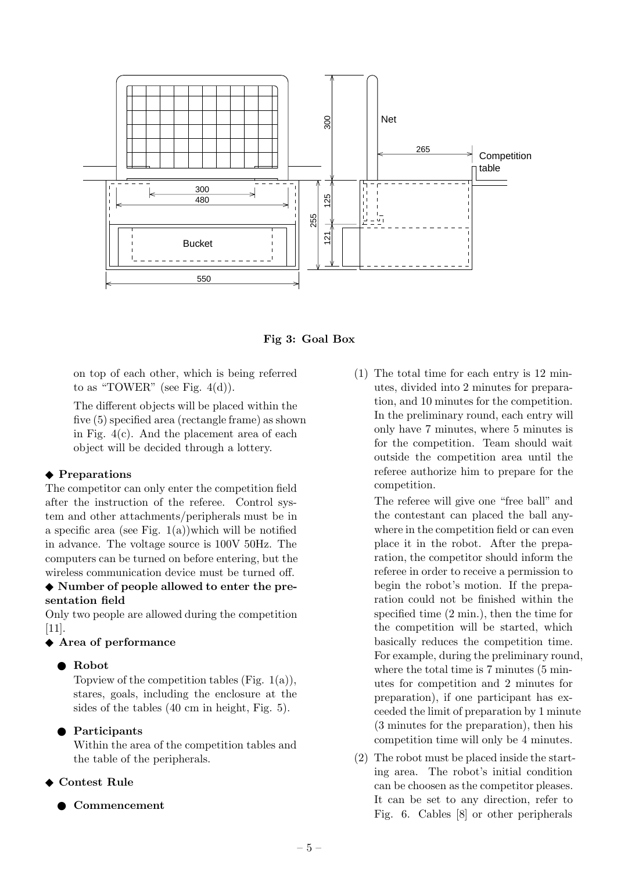

**Fig 3: Goal Box**

on top of each other, which is being referred to as "TOWER" (see Fig.  $4(d)$ ).

The different objects will be placed within the five (5) specified area (rectangle frame) as shown in Fig. 4(c). And the placement area of each object will be decided through a lottery.

#### **Preparations**

The competitor can only enter the competition field after the instruction of the referee. Control system and other attachments/peripherals must be in a specific area (see Fig.  $1(a)$ )which will be notified in advance. The voltage source is 100V 50Hz. The computers can be turned on before entering, but the wireless communication device must be turned off.

### **Number of people allowed to enter the presentation field**

Only two people are allowed during the competition [11].

# **Area of performance**

#### **Robot**

Topview of the competition tables (Fig.  $1(a)$ ), stares, goals, including the enclosure at the sides of the tables (40 cm in height, Fig. 5).

#### **Participants**

Within the area of the competition tables and the table of the peripherals.

#### **Contest Rule**

#### **Commencement**

(1) The total time for each entry is 12 minutes, divided into 2 minutes for preparation, and 10 minutes for the competition. In the preliminary round, each entry will only have 7 minutes, where 5 minutes is for the competition. Team should wait outside the competition area until the referee authorize him to prepare for the competition.

The referee will give one "free ball" and the contestant can placed the ball anywhere in the competition field or can even place it in the robot. After the preparation, the competitor should inform the referee in order to receive a permission to begin the robot's motion. If the preparation could not be finished within the specified time (2 min.), then the time for the competition will be started, which basically reduces the competition time. For example, during the preliminary round, where the total time is 7 minutes  $(5 \text{ min}$ utes for competition and 2 minutes for preparation), if one participant has exceeded the limit of preparation by 1 minute (3 minutes for the preparation), then his competition time will only be 4 minutes.

(2) The robot must be placed inside the starting area. The robot's initial condition can be choosen as the competitor pleases. It can be set to any direction, refer to Fig. 6. Cables [8] or other peripherals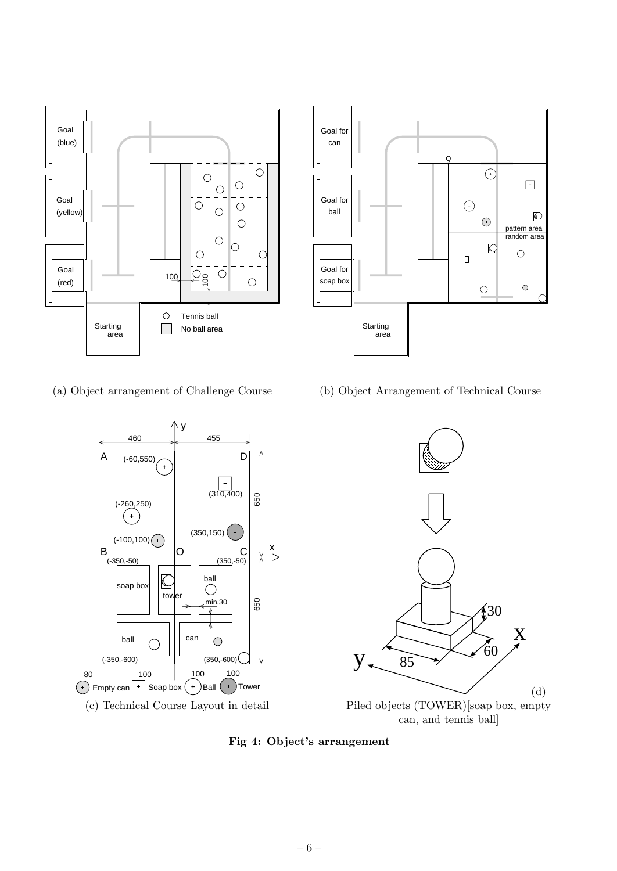



(a) Object arrangement of Challenge Course



(b) Object Arrangement of Technical Course



**Fig 4: Object's arrangement**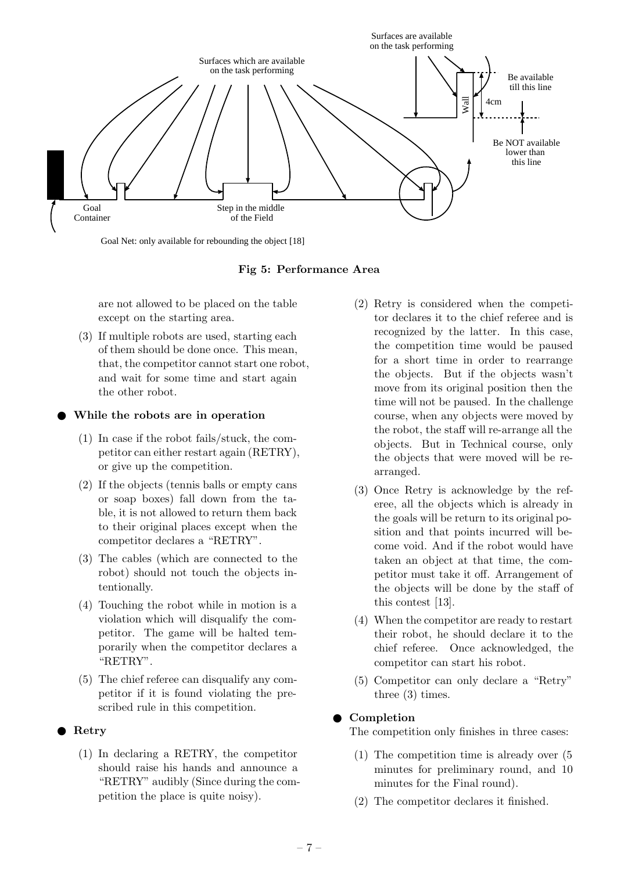

Goal Net: only available for rebounding the object [18]

**Fig 5: Performance Area**

are not allowed to be placed on the table except on the starting area.

(3) If multiple robots are used, starting each of them should be done once. This mean, that, the competitor cannot start one robot, and wait for some time and start again the other robot.

### **While the robots are in operation**

- (1) In case if the robot fails/stuck, the competitor can either restart again (RETRY), or give up the competition.
- (2) If the objects (tennis balls or empty cans or soap boxes) fall down from the table, it is not allowed to return them back to their original places except when the competitor declares a "RETRY".
- (3) The cables (which are connected to the robot) should not touch the objects intentionally.
- (4) Touching the robot while in motion is a violation which will disqualify the competitor. The game will be halted temporarily when the competitor declares a "RETRY".
- (5) The chief referee can disqualify any competitor if it is found violating the prescribed rule in this competition.

# **Retry**

(1) In declaring a RETRY, the competitor should raise his hands and announce a "RETRY" audibly (Since during the competition the place is quite noisy).

- (2) Retry is considered when the competitor declares it to the chief referee and is recognized by the latter. In this case, the competition time would be paused for a short time in order to rearrange the objects. But if the objects wasn't move from its original position then the time will not be paused. In the challenge course, when any objects were moved by the robot, the staff will re-arrange all the objects. But in Technical course, only the objects that were moved will be rearranged.
- (3) Once Retry is acknowledge by the referee, all the objects which is already in the goals will be return to its original position and that points incurred will become void. And if the robot would have taken an object at that time, the competitor must take it off. Arrangement of the objects will be done by the staff of this contest [13].
- (4) When the competitor are ready to restart their robot, he should declare it to the chief referee. Once acknowledged, the competitor can start his robot.
- (5) Competitor can only declare a "Retry" three (3) times.

# **Completion**

The competition only finishes in three cases:

- (1) The competition time is already over (5 minutes for preliminary round, and 10 minutes for the Final round).
- (2) The competitor declares it finished.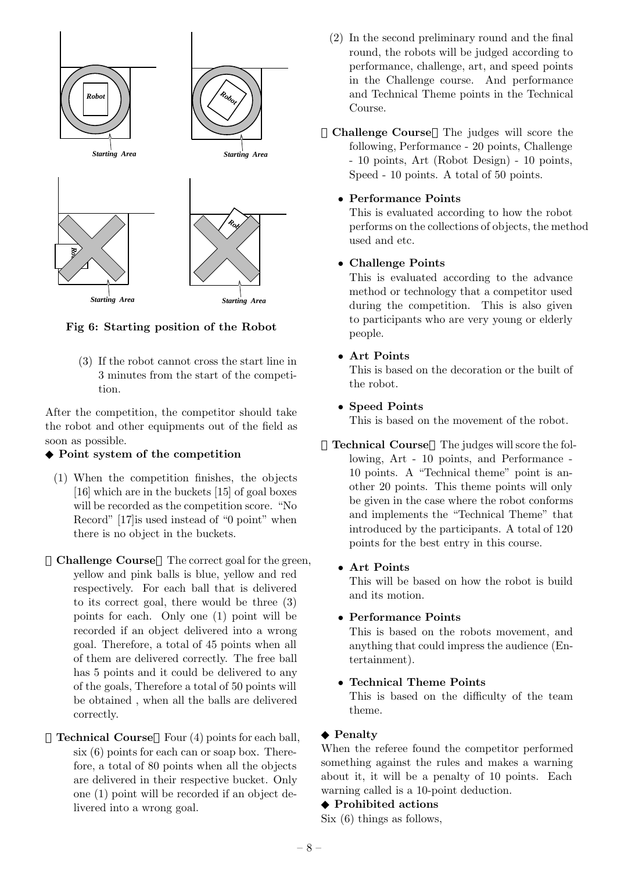

**Fig 6: Starting position of the Robot**

(3) If the robot cannot cross the start line in 3 minutes from the start of the competition.

After the competition, the competitor should take the robot and other equipments out of the field as soon as possible.

#### **Point system of the competition**

- (1) When the competition finishes, the objects [16] which are in the buckets [15] of goal boxes will be recorded as the competition score. "No Record" [17]is used instead of "0 point" when there is no object in the buckets.
- **Challenge Course** The correct goal for the green, yellow and pink balls is blue, yellow and red respectively. For each ball that is delivered to its correct goal, there would be three (3) points for each. Only one (1) point will be recorded if an object delivered into a wrong goal. Therefore, a total of 45 points when all of them are delivered correctly. The free ball has 5 points and it could be delivered to any of the goals, Therefore a total of 50 points will be obtained , when all the balls are delivered correctly.
- **Technical Course** Four (4) points for each ball, six (6) points for each can or soap box. Therefore, a total of 80 points when all the objects are delivered in their respective bucket. Only one (1) point will be recorded if an object delivered into a wrong goal.

(2) In the second preliminary round and the final round, the robots will be judged according to performance, challenge, art, and speed points in the Challenge course. And performance and Technical Theme points in the Technical Course.

**Challenge Course** The judges will score the following, Performance - 20 points, Challenge - 10 points, Art (Robot Design) - 10 points, Speed - 10 points. A total of 50 points.

### *•* **Performance Points**

This is evaluated according to how the robot performs on the collections of objects, the method used and etc.

### *•* **Challenge Points**

This is evaluated according to the advance method or technology that a competitor used during the competition. This is also given to participants who are very young or elderly people.

### *•* **Art Points**

This is based on the decoration or the built of the robot.

### *•* **Speed Points**

This is based on the movement of the robot.

- **Technical Course** The judges will score the following, Art - 10 points, and Performance - 10 points. A "Technical theme" point is another 20 points. This theme points will only be given in the case where the robot conforms and implements the "Technical Theme" that introduced by the participants. A total of 120 points for the best entry in this course.
	- *•* **Art Points**

This will be based on how the robot is build and its motion.

#### *•* **Performance Points**

This is based on the robots movement, and anything that could impress the audience (Entertainment).

#### *•* **Technical Theme Points**

This is based on the difficulty of the team theme.

#### **Penalty**

When the referee found the competitor performed something against the rules and makes a warning about it, it will be a penalty of 10 points. Each warning called is a 10-point deduction.

#### **Prohibited actions**

Six (6) things as follows,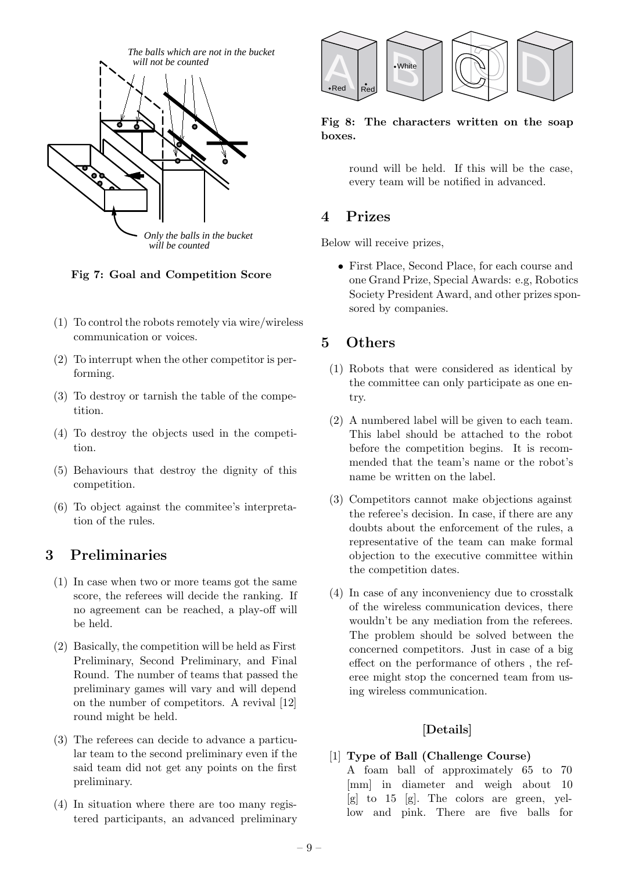

**Fig 7: Goal and Competition Score**

- (1) To control the robots remotely via wire/wireless communication or voices.
- (2) To interrupt when the other competitor is performing.
- (3) To destroy or tarnish the table of the competition.
- (4) To destroy the objects used in the competition.
- (5) Behaviours that destroy the dignity of this competition.
- (6) To object against the commitee's interpretation of the rules.

#### Preliminaries 3 **3 Preliminaries**

- (1) In case when two or more teams got the same score, the referees will decide the ranking. If no agreement can be reached, a play-off will be held.
- (2) Basically, the competition will be held as First Preliminary, Second Preliminary, and Final Round. The number of teams that passed the preliminary games will vary and will depend on the number of competitors. A revival [12] round might be held.
- (3) The referees can decide to advance a particular team to the second preliminary even if the said team did not get any points on the first preliminary.
- (4) In situation where there are too many registered participants, an advanced preliminary



**Fig 8: The characters written on the soap boxes.**

round will be held. If this will be the case, every team will be notified in advanced.

# $\overline{\mathbf{4}}$

Below will receive prizes,

*•* First Place, Second Place, for each course and one Grand Prize, Special Awards: e.g, Robotics Society President Award, and other prizes sponsored by companies.

#### $\mathbf{5}$ Others **5 Others**

- (1) Robots that were considered as identical by the committee can only participate as one entry.
- (2) A numbered label will be given to each team. This label should be attached to the robot before the competition begins. It is recommended that the team's name or the robot's name be written on the label.
- (3) Competitors cannot make objections against the referee's decision. In case, if there are any doubts about the enforcement of the rules, a representative of the team can make formal objection to the executive committee within the competition dates.
- (4) In case of any inconveniency due to crosstalk of the wireless communication devices, there wouldn't be any mediation from the referees. The problem should be solved between the concerned competitors. Just in case of a big effect on the performance of others , the referee might stop the concerned team from using wireless communication.

# **[Details]**

# [1] **Type of Ball (Challenge Course)**

A foam ball of approximately 65 to 70 [mm] in diameter and weigh about 10 [g] to 15 [g]. The colors are green, yellow and pink. There are five balls for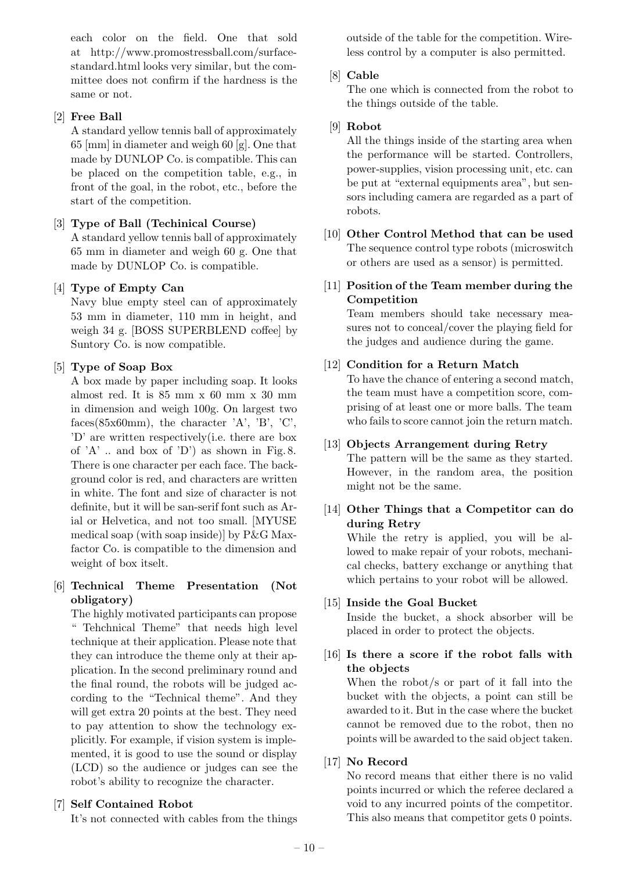each color on the field. One that sold at http://www.promostressball.com/surfacestandard.html looks very similar, but the committee does not confirm if the hardness is the same or not.

# [2] **Free Ball**

A standard yellow tennis ball of approximately 65 [mm] in diameter and weigh 60 [g]. One that made by DUNLOP Co. is compatible. This can be placed on the competition table, e.g., in front of the goal, in the robot, etc., before the start of the competition.

# [3] **Type of Ball (Techinical Course)**

A standard yellow tennis ball of approximately 65 mm in diameter and weigh 60 g. One that made by DUNLOP Co. is compatible.

# [4] **Type of Empty Can**

Navy blue empty steel can of approximately 53 mm in diameter, 110 mm in height, and weigh 34 g. [BOSS SUPERBLEND coffee] by Suntory Co. is now compatible.

# [5] **Type of Soap Box**

A box made by paper including soap. It looks almost red. It is 85 mm x 60 mm x 30 mm in dimension and weigh 100g. On largest two faces(85x60mm), the character  $'A'$ ,  $'B'$ ,  $'C'$ , 'D' are written respectively(i.e. there are box of  $'A'$ ... and box of  $'D'$  as shown in Fig. 8. There is one character per each face. The background color is red, and characters are written in white. The font and size of character is not definite, but it will be san-serif font such as Arial or Helvetica, and not too small. [MYUSE medical soap (with soap inside)] by P&G Maxfactor Co. is compatible to the dimension and weight of box itselt.

# [6] **Technical Theme Presentation (Not obligatory)**

The highly motivated participants can propose " Tehchnical Theme" that needs high level technique at their application. Please note that they can introduce the theme only at their application. In the second preliminary round and the final round, the robots will be judged according to the "Technical theme". And they will get extra 20 points at the best. They need to pay attention to show the technology explicitly. For example, if vision system is implemented, it is good to use the sound or display (LCD) so the audience or judges can see the robot's ability to recognize the character.

# [7] **Self Contained Robot**

It's not connected with cables from the things

outside of the table for the competition. Wireless control by a computer is also permitted.

# [8] **Cable**

The one which is connected from the robot to the things outside of the table.

# [9] **Robot**

All the things inside of the starting area when the performance will be started. Controllers, power-supplies, vision processing unit, etc. can be put at "external equipments area", but sensors including camera are regarded as a part of robots.

- [10] **Other Control Method that can be used** The sequence control type robots (microswitch or others are used as a sensor) is permitted.
- [11] **Position of the Team member during the Competition**

Team members should take necessary measures not to conceal/cover the playing field for the judges and audience during the game.

# [12] **Condition for a Return Match**

To have the chance of entering a second match, the team must have a competition score, comprising of at least one or more balls. The team who fails to score cannot join the return match.

# [13] **Objects Arrangement during Retry**

The pattern will be the same as they started. However, in the random area, the position might not be the same.

[14] **Other Things that a Competitor can do during Retry**

While the retry is applied, you will be allowed to make repair of your robots, mechanical checks, battery exchange or anything that which pertains to your robot will be allowed.

# [15] **Inside the Goal Bucket**

Inside the bucket, a shock absorber will be placed in order to protect the objects.

[16] **Is there a score if the robot falls with the objects**

When the robot/s or part of it fall into the bucket with the objects, a point can still be awarded to it. But in the case where the bucket cannot be removed due to the robot, then no points will be awarded to the said object taken.

# [17] **No Record**

No record means that either there is no valid points incurred or which the referee declared a void to any incurred points of the competitor. This also means that competitor gets 0 points.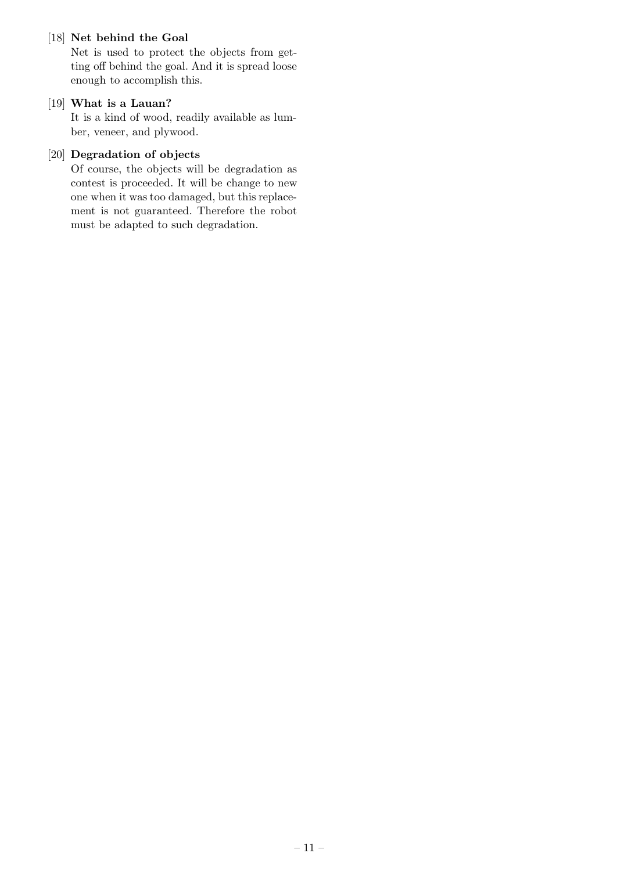# [18] **Net behind the Goal**

Net is used to protect the objects from getting off behind the goal. And it is spread loose enough to accomplish this.

### [19] **What is a Lauan?**

It is a kind of wood, readily available as lumber, veneer, and plywood.

# [20] **Degradation of objects**

Of course, the objects will be degradation as contest is proceeded. It will be change to new one when it was too damaged, but this replacement is not guaranteed. Therefore the robot must be adapted to such degradation.